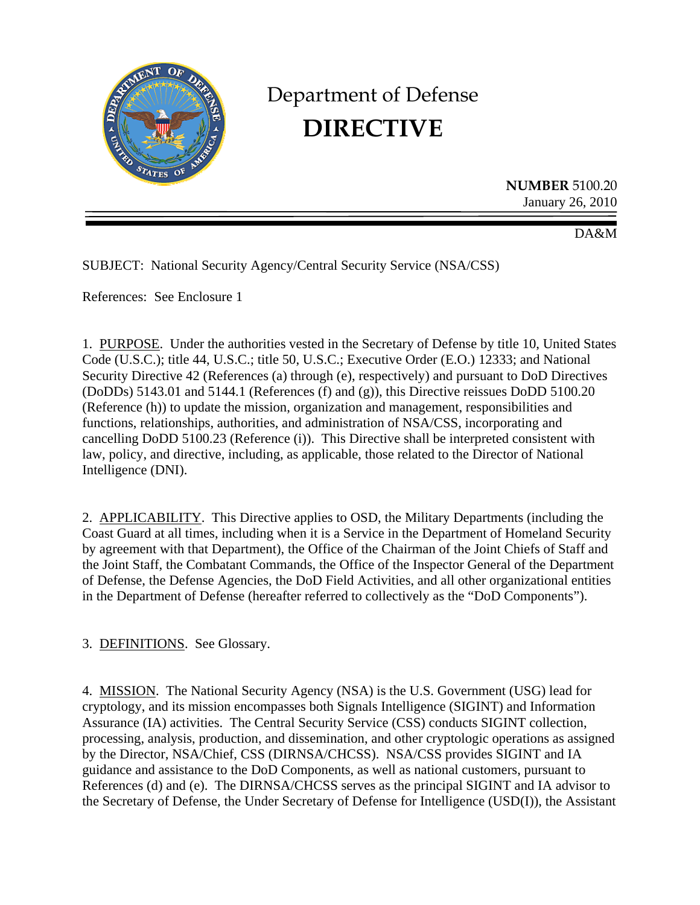

# Department of Defense **DIRECTIVE**

**NUMBER** 5100.20 January 26, 2010

DA&M

SUBJECT: National Security Agency/Central Security Service (NSA/CSS)

References: See Enclosure 1

1. PURPOSE. Under the authorities vested in the Secretary of Defense by title 10, United States Code (U.S.C.); title 44, U.S.C.; title 50, U.S.C.; Executive Order (E.O.) 12333; and National Security Directive 42 (References (a) through (e), respectively) and pursuant to DoD Directives (DoDDs) 5143.01 and 5144.1 (References (f) and (g)), this Directive reissues DoDD 5100.20 (Reference (h)) to update the mission, organization and management, responsibilities and functions, relationships, authorities, and administration of NSA/CSS, incorporating and cancelling DoDD 5100.23 (Reference (i)). This Directive shall be interpreted consistent with law, policy, and directive, including, as applicable, those related to the Director of National Intelligence (DNI).

2. APPLICABILITY. This Directive applies to OSD, the Military Departments (including the Coast Guard at all times, including when it is a Service in the Department of Homeland Security by agreement with that Department), the Office of the Chairman of the Joint Chiefs of Staff and the Joint Staff, the Combatant Commands, the Office of the Inspector General of the Department of Defense, the Defense Agencies, the DoD Field Activities, and all other organizational entities in the Department of Defense (hereafter referred to collectively as the "DoD Components").

3. DEFINITIONS. See Glossary.

4. MISSION. The National Security Agency (NSA) is the U.S. Government (USG) lead for cryptology, and its mission encompasses both Signals Intelligence (SIGINT) and Information Assurance (IA) activities. The Central Security Service (CSS) conducts SIGINT collection, processing, analysis, production, and dissemination, and other cryptologic operations as assigned by the Director, NSA/Chief, CSS (DIRNSA/CHCSS). NSA/CSS provides SIGINT and IA guidance and assistance to the DoD Components, as well as national customers, pursuant to References (d) and (e). The DIRNSA/CHCSS serves as the principal SIGINT and IA advisor to the Secretary of Defense, the Under Secretary of Defense for Intelligence (USD(I)), the Assistant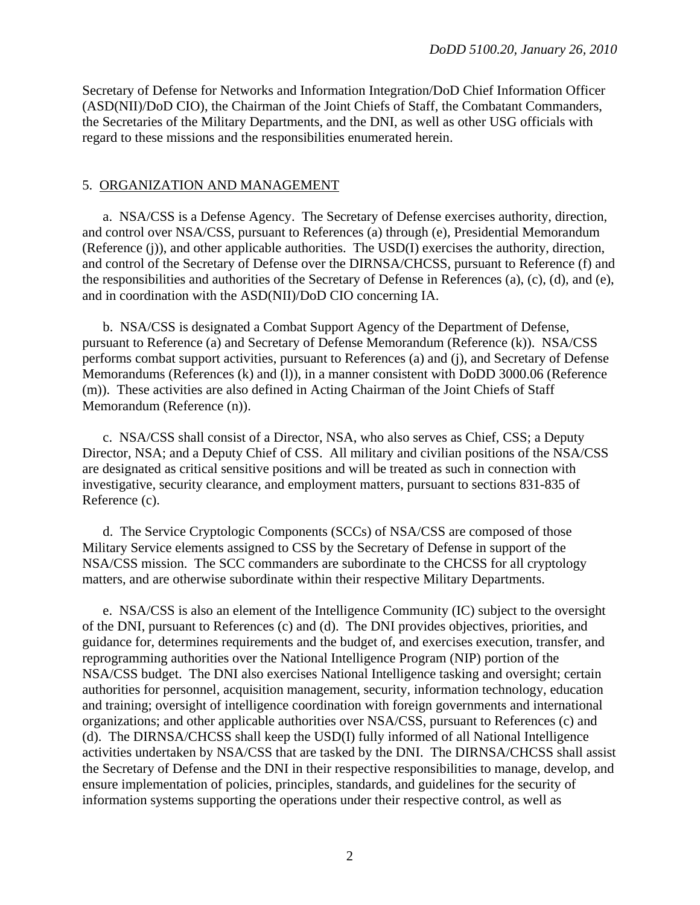Secretary of Defense for Networks and Information Integration/DoD Chief Information Officer (ASD(NII)/DoD CIO), the Chairman of the Joint Chiefs of Staff, the Combatant Commanders, the Secretaries of the Military Departments, and the DNI, as well as other USG officials with regard to these missions and the responsibilities enumerated herein.

#### 5. ORGANIZATION AND MANAGEMENT

 a. NSA/CSS is a Defense Agency. The Secretary of Defense exercises authority, direction, and control over NSA/CSS, pursuant to References (a) through (e), Presidential Memorandum (Reference (j)), and other applicable authorities. The USD(I) exercises the authority, direction, and control of the Secretary of Defense over the DIRNSA/CHCSS, pursuant to Reference (f) and the responsibilities and authorities of the Secretary of Defense in References (a), (c), (d), and (e), and in coordination with the ASD(NII)/DoD CIO concerning IA.

 b. NSA/CSS is designated a Combat Support Agency of the Department of Defense, pursuant to Reference (a) and Secretary of Defense Memorandum (Reference (k)). NSA/CSS performs combat support activities, pursuant to References (a) and (j), and Secretary of Defense Memorandums (References (k) and (l)), in a manner consistent with DoDD 3000.06 (Reference (m)). These activities are also defined in Acting Chairman of the Joint Chiefs of Staff Memorandum (Reference (n)).

 c. NSA/CSS shall consist of a Director, NSA, who also serves as Chief, CSS; a Deputy Director, NSA; and a Deputy Chief of CSS. All military and civilian positions of the NSA/CSS are designated as critical sensitive positions and will be treated as such in connection with investigative, security clearance, and employment matters, pursuant to sections 831-835 of Reference (c).

 d. The Service Cryptologic Components (SCCs) of NSA/CSS are composed of those Military Service elements assigned to CSS by the Secretary of Defense in support of the NSA/CSS mission. The SCC commanders are subordinate to the CHCSS for all cryptology matters, and are otherwise subordinate within their respective Military Departments.

 e. NSA/CSS is also an element of the Intelligence Community (IC) subject to the oversight of the DNI, pursuant to References (c) and (d). The DNI provides objectives, priorities, and guidance for, determines requirements and the budget of, and exercises execution, transfer, and reprogramming authorities over the National Intelligence Program (NIP) portion of the NSA/CSS budget. The DNI also exercises National Intelligence tasking and oversight; certain authorities for personnel, acquisition management, security, information technology, education and training; oversight of intelligence coordination with foreign governments and international organizations; and other applicable authorities over NSA/CSS, pursuant to References (c) and (d). The DIRNSA/CHCSS shall keep the USD(I) fully informed of all National Intelligence activities undertaken by NSA/CSS that are tasked by the DNI. The DIRNSA/CHCSS shall assist the Secretary of Defense and the DNI in their respective responsibilities to manage, develop, and ensure implementation of policies, principles, standards, and guidelines for the security of information systems supporting the operations under their respective control, as well as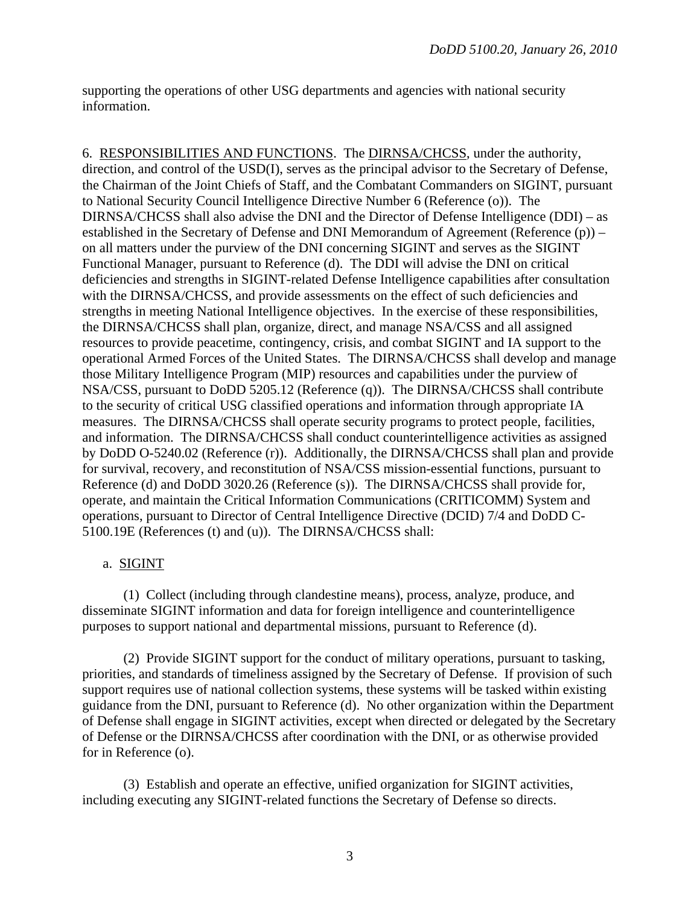supporting the operations of other USG departments and agencies with national security information.

6. RESPONSIBILITIES AND FUNCTIONS. The DIRNSA/CHCSS, under the authority, direction, and control of the USD(I), serves as the principal advisor to the Secretary of Defense, the Chairman of the Joint Chiefs of Staff, and the Combatant Commanders on SIGINT, pursuant to National Security Council Intelligence Directive Number 6 (Reference (o)). The DIRNSA/CHCSS shall also advise the DNI and the Director of Defense Intelligence (DDI) – as established in the Secretary of Defense and DNI Memorandum of Agreement (Reference (p)) – on all matters under the purview of the DNI concerning SIGINT and serves as the SIGINT Functional Manager, pursuant to Reference (d). The DDI will advise the DNI on critical deficiencies and strengths in SIGINT-related Defense Intelligence capabilities after consultation with the DIRNSA/CHCSS, and provide assessments on the effect of such deficiencies and strengths in meeting National Intelligence objectives. In the exercise of these responsibilities, the DIRNSA/CHCSS shall plan, organize, direct, and manage NSA/CSS and all assigned resources to provide peacetime, contingency, crisis, and combat SIGINT and IA support to the operational Armed Forces of the United States. The DIRNSA/CHCSS shall develop and manage those Military Intelligence Program (MIP) resources and capabilities under the purview of NSA/CSS, pursuant to DoDD 5205.12 (Reference (q)). The DIRNSA/CHCSS shall contribute to the security of critical USG classified operations and information through appropriate IA measures. The DIRNSA/CHCSS shall operate security programs to protect people, facilities, and information. The DIRNSA/CHCSS shall conduct counterintelligence activities as assigned by DoDD O-5240.02 (Reference (r)). Additionally, the DIRNSA/CHCSS shall plan and provide for survival, recovery, and reconstitution of NSA/CSS mission-essential functions, pursuant to Reference (d) and DoDD 3020.26 (Reference (s)). The DIRNSA/CHCSS shall provide for, operate, and maintain the Critical Information Communications (CRITICOMM) System and operations, pursuant to Director of Central Intelligence Directive (DCID) 7/4 and DoDD C-5100.19E (References (t) and (u)). The DIRNSA/CHCSS shall:

#### a. SIGINT

 (1) Collect (including through clandestine means), process, analyze, produce, and disseminate SIGINT information and data for foreign intelligence and counterintelligence purposes to support national and departmental missions, pursuant to Reference (d).

 (2) Provide SIGINT support for the conduct of military operations, pursuant to tasking, priorities, and standards of timeliness assigned by the Secretary of Defense. If provision of such support requires use of national collection systems, these systems will be tasked within existing guidance from the DNI, pursuant to Reference (d). No other organization within the Department of Defense shall engage in SIGINT activities, except when directed or delegated by the Secretary of Defense or the DIRNSA/CHCSS after coordination with the DNI, or as otherwise provided for in Reference (o).

 (3) Establish and operate an effective, unified organization for SIGINT activities, including executing any SIGINT-related functions the Secretary of Defense so directs.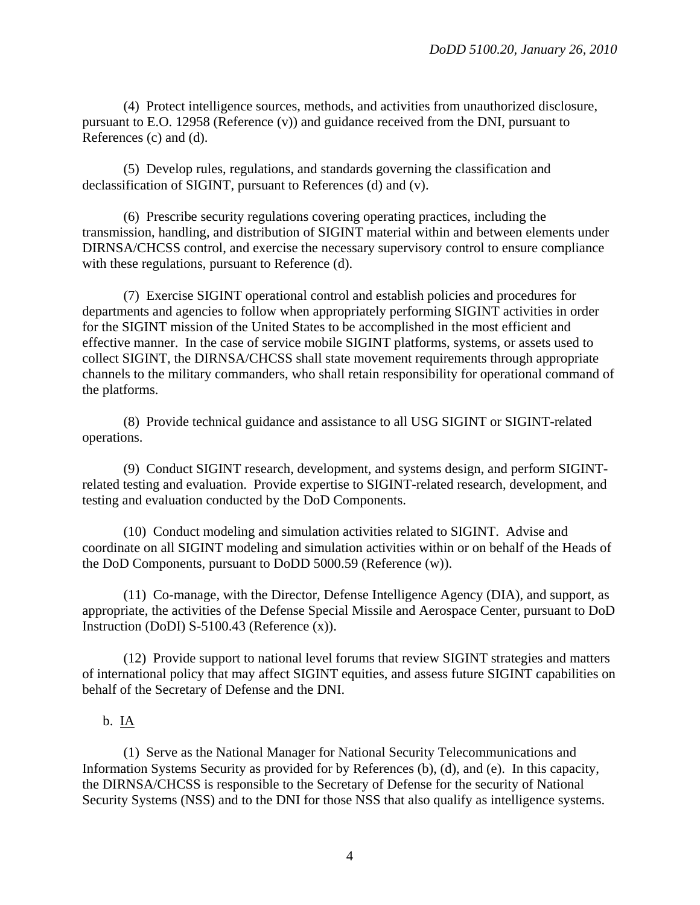(4) Protect intelligence sources, methods, and activities from unauthorized disclosure, pursuant to E.O. 12958 (Reference (v)) and guidance received from the DNI, pursuant to References (c) and (d).

 (5) Develop rules, regulations, and standards governing the classification and declassification of SIGINT, pursuant to References (d) and (v).

 (6) Prescribe security regulations covering operating practices, including the transmission, handling, and distribution of SIGINT material within and between elements under DIRNSA/CHCSS control, and exercise the necessary supervisory control to ensure compliance with these regulations, pursuant to Reference (d).

 (7) Exercise SIGINT operational control and establish policies and procedures for departments and agencies to follow when appropriately performing SIGINT activities in order for the SIGINT mission of the United States to be accomplished in the most efficient and effective manner. In the case of service mobile SIGINT platforms, systems, or assets used to collect SIGINT, the DIRNSA/CHCSS shall state movement requirements through appropriate channels to the military commanders, who shall retain responsibility for operational command of the platforms.

 (8) Provide technical guidance and assistance to all USG SIGINT or SIGINT-related operations.

 (9) Conduct SIGINT research, development, and systems design, and perform SIGINTrelated testing and evaluation. Provide expertise to SIGINT-related research, development, and testing and evaluation conducted by the DoD Components.

 (10) Conduct modeling and simulation activities related to SIGINT. Advise and coordinate on all SIGINT modeling and simulation activities within or on behalf of the Heads of the DoD Components, pursuant to DoDD 5000.59 (Reference (w)).

 (11) Co-manage, with the Director, Defense Intelligence Agency (DIA), and support, as appropriate, the activities of the Defense Special Missile and Aerospace Center, pursuant to DoD Instruction (DoDI) S-5100.43 (Reference (x)).

 (12) Provide support to national level forums that review SIGINT strategies and matters of international policy that may affect SIGINT equities, and assess future SIGINT capabilities on behalf of the Secretary of Defense and the DNI.

#### $b. \underline{IA}$

 (1) Serve as the National Manager for National Security Telecommunications and Information Systems Security as provided for by References (b), (d), and (e). In this capacity, the DIRNSA/CHCSS is responsible to the Secretary of Defense for the security of National Security Systems (NSS) and to the DNI for those NSS that also qualify as intelligence systems.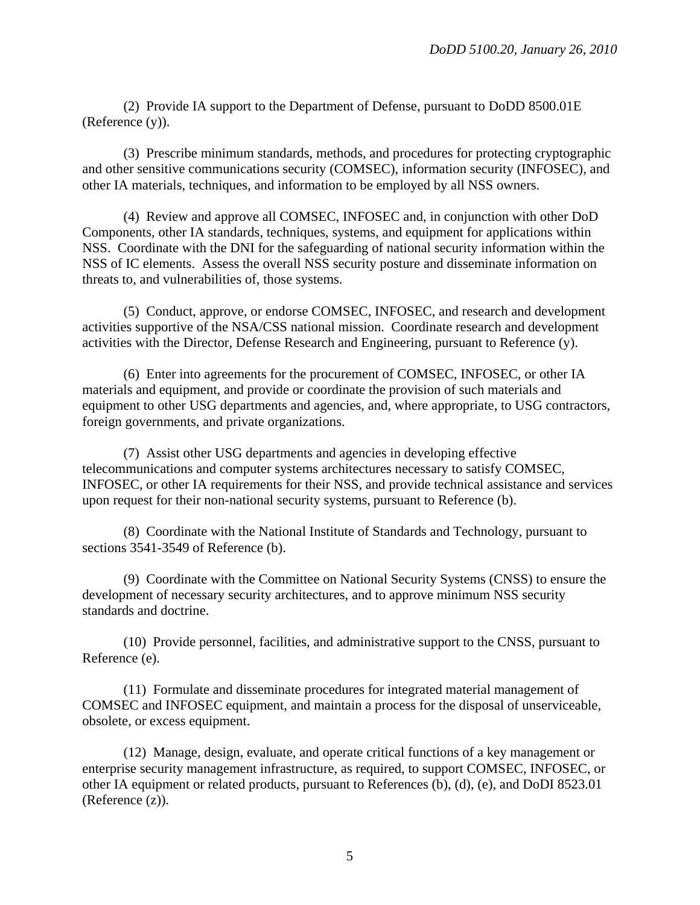(2) Provide IA support to the Department of Defense, pursuant to DoDD 8500.01E (Reference (y)).

 (3) Prescribe minimum standards, methods, and procedures for protecting cryptographic and other sensitive communications security (COMSEC), information security (INFOSEC), and other IA materials, techniques, and information to be employed by all NSS owners.

 (4) Review and approve all COMSEC, INFOSEC and, in conjunction with other DoD Components, other IA standards, techniques, systems, and equipment for applications within NSS. Coordinate with the DNI for the safeguarding of national security information within the NSS of IC elements. Assess the overall NSS security posture and disseminate information on threats to, and vulnerabilities of, those systems.

 (5) Conduct, approve, or endorse COMSEC, INFOSEC, and research and development activities supportive of the NSA/CSS national mission. Coordinate research and development activities with the Director, Defense Research and Engineering, pursuant to Reference (y).

 (6) Enter into agreements for the procurement of COMSEC, INFOSEC, or other IA materials and equipment, and provide or coordinate the provision of such materials and equipment to other USG departments and agencies, and, where appropriate, to USG contractors, foreign governments, and private organizations.

 (7) Assist other USG departments and agencies in developing effective telecommunications and computer systems architectures necessary to satisfy COMSEC, INFOSEC, or other IA requirements for their NSS, and provide technical assistance and services upon request for their non-national security systems, pursuant to Reference (b).

 (8) Coordinate with the National Institute of Standards and Technology, pursuant to sections 3541-3549 of Reference (b).

 (9) Coordinate with the Committee on National Security Systems (CNSS) to ensure the development of necessary security architectures, and to approve minimum NSS security standards and doctrine.

 (10) Provide personnel, facilities, and administrative support to the CNSS, pursuant to Reference (e).

 (11) Formulate and disseminate procedures for integrated material management of COMSEC and INFOSEC equipment, and maintain a process for the disposal of unserviceable, obsolete, or excess equipment.

 (12) Manage, design, evaluate, and operate critical functions of a key management or enterprise security management infrastructure, as required, to support COMSEC, INFOSEC, or other IA equipment or related products, pursuant to References (b), (d), (e), and DoDI 8523.01 (Reference (z)).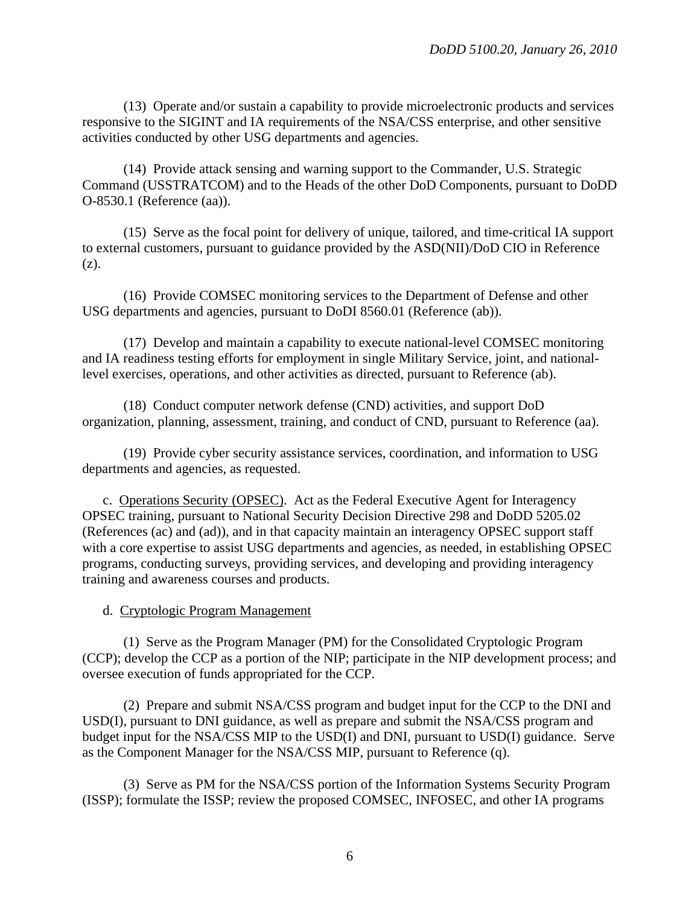(13) Operate and/or sustain a capability to provide microelectronic products and services responsive to the SIGINT and IA requirements of the NSA/CSS enterprise, and other sensitive activities conducted by other USG departments and agencies.

 (14) Provide attack sensing and warning support to the Commander, U.S. Strategic Command (USSTRATCOM) and to the Heads of the other DoD Components, pursuant to DoDD O-8530.1 (Reference (aa)).

 (15) Serve as the focal point for delivery of unique, tailored, and time-critical IA support to external customers, pursuant to guidance provided by the ASD(NII)/DoD CIO in Reference (z).

 (16) Provide COMSEC monitoring services to the Department of Defense and other USG departments and agencies, pursuant to DoDI 8560.01 (Reference (ab)).

 (17) Develop and maintain a capability to execute national-level COMSEC monitoring and IA readiness testing efforts for employment in single Military Service, joint, and nationallevel exercises, operations, and other activities as directed, pursuant to Reference (ab).

 (18) Conduct computer network defense (CND) activities, and support DoD organization, planning, assessment, training, and conduct of CND, pursuant to Reference (aa).

 (19) Provide cyber security assistance services, coordination, and information to USG departments and agencies, as requested.

 c. Operations Security (OPSEC). Act as the Federal Executive Agent for Interagency OPSEC training, pursuant to National Security Decision Directive 298 and DoDD 5205.02 (References (ac) and (ad)), and in that capacity maintain an interagency OPSEC support staff with a core expertise to assist USG departments and agencies, as needed, in establishing OPSEC programs, conducting surveys, providing services, and developing and providing interagency training and awareness courses and products.

d. Cryptologic Program Management

 (1) Serve as the Program Manager (PM) for the Consolidated Cryptologic Program (CCP); develop the CCP as a portion of the NIP; participate in the NIP development process; and oversee execution of funds appropriated for the CCP.

 (2) Prepare and submit NSA/CSS program and budget input for the CCP to the DNI and USD(I), pursuant to DNI guidance, as well as prepare and submit the NSA/CSS program and budget input for the NSA/CSS MIP to the USD(I) and DNI, pursuant to USD(I) guidance. Serve as the Component Manager for the NSA/CSS MIP, pursuant to Reference (q).

 (3) Serve as PM for the NSA/CSS portion of the Information Systems Security Program (ISSP); formulate the ISSP; review the proposed COMSEC, INFOSEC, and other IA programs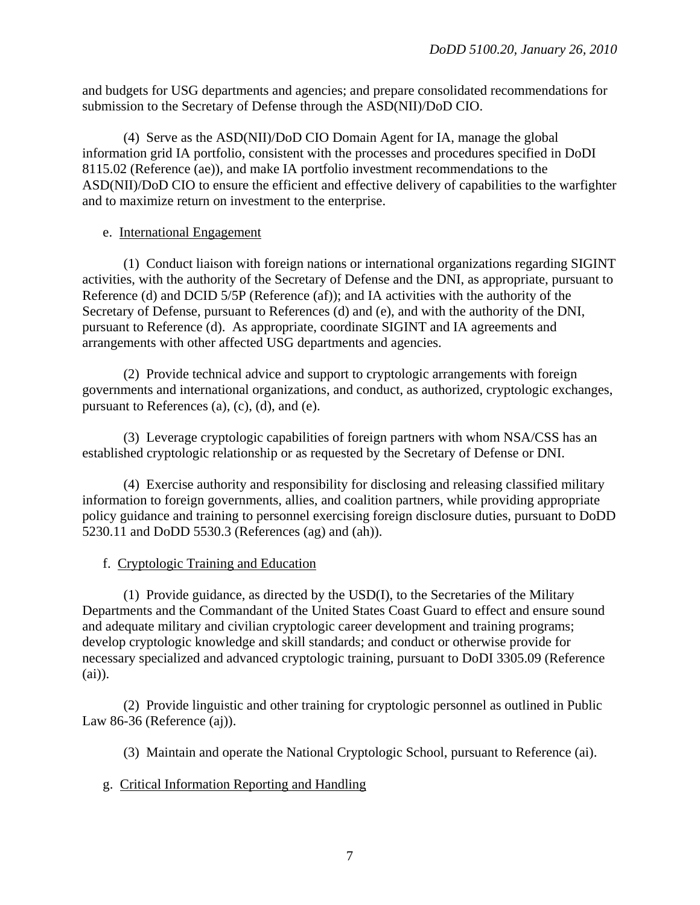and budgets for USG departments and agencies; and prepare consolidated recommendations for submission to the Secretary of Defense through the ASD(NII)/DoD CIO.

 (4) Serve as the ASD(NII)/DoD CIO Domain Agent for IA, manage the global information grid IA portfolio, consistent with the processes and procedures specified in DoDI 8115.02 (Reference (ae)), and make IA portfolio investment recommendations to the ASD(NII)/DoD CIO to ensure the efficient and effective delivery of capabilities to the warfighter and to maximize return on investment to the enterprise.

# e. International Engagement

 (1) Conduct liaison with foreign nations or international organizations regarding SIGINT activities, with the authority of the Secretary of Defense and the DNI, as appropriate, pursuant to Reference (d) and DCID 5/5P (Reference (af)); and IA activities with the authority of the Secretary of Defense, pursuant to References (d) and (e), and with the authority of the DNI, pursuant to Reference (d). As appropriate, coordinate SIGINT and IA agreements and arrangements with other affected USG departments and agencies.

 (2) Provide technical advice and support to cryptologic arrangements with foreign governments and international organizations, and conduct, as authorized, cryptologic exchanges, pursuant to References (a), (c), (d), and (e).

 (3) Leverage cryptologic capabilities of foreign partners with whom NSA/CSS has an established cryptologic relationship or as requested by the Secretary of Defense or DNI.

 (4) Exercise authority and responsibility for disclosing and releasing classified military information to foreign governments, allies, and coalition partners, while providing appropriate policy guidance and training to personnel exercising foreign disclosure duties, pursuant to DoDD 5230.11 and DoDD 5530.3 (References (ag) and (ah)).

# f. Cryptologic Training and Education

 (1) Provide guidance, as directed by the USD(I), to the Secretaries of the Military Departments and the Commandant of the United States Coast Guard to effect and ensure sound and adequate military and civilian cryptologic career development and training programs; develop cryptologic knowledge and skill standards; and conduct or otherwise provide for necessary specialized and advanced cryptologic training, pursuant to DoDI 3305.09 (Reference (ai)).

 (2) Provide linguistic and other training for cryptologic personnel as outlined in Public Law 86-36 (Reference (aj)).

(3) Maintain and operate the National Cryptologic School, pursuant to Reference (ai).

# g. Critical Information Reporting and Handling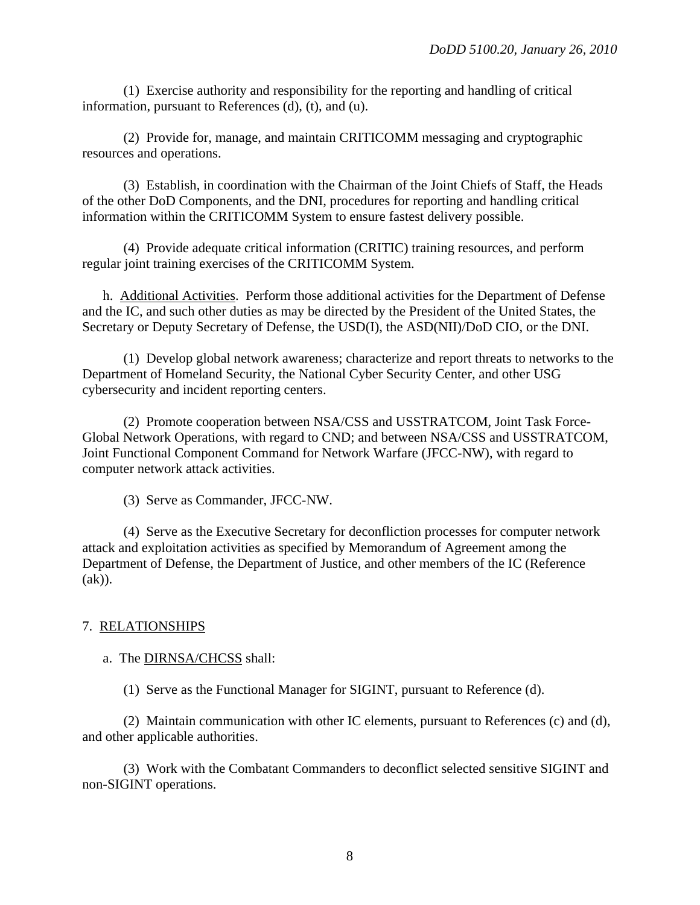(1) Exercise authority and responsibility for the reporting and handling of critical information, pursuant to References (d), (t), and (u).

 (2) Provide for, manage, and maintain CRITICOMM messaging and cryptographic resources and operations.

 (3) Establish, in coordination with the Chairman of the Joint Chiefs of Staff, the Heads of the other DoD Components, and the DNI, procedures for reporting and handling critical information within the CRITICOMM System to ensure fastest delivery possible.

 (4) Provide adequate critical information (CRITIC) training resources, and perform regular joint training exercises of the CRITICOMM System.

 h. Additional Activities. Perform those additional activities for the Department of Defense and the IC, and such other duties as may be directed by the President of the United States, the Secretary or Deputy Secretary of Defense, the USD(I), the ASD(NII)/DoD CIO, or the DNI.

 (1) Develop global network awareness; characterize and report threats to networks to the Department of Homeland Security, the National Cyber Security Center, and other USG cybersecurity and incident reporting centers.

 (2) Promote cooperation between NSA/CSS and USSTRATCOM, Joint Task Force-Global Network Operations, with regard to CND; and between NSA/CSS and USSTRATCOM, Joint Functional Component Command for Network Warfare (JFCC-NW), with regard to computer network attack activities.

(3) Serve as Commander, JFCC-NW.

 (4) Serve as the Executive Secretary for deconfliction processes for computer network attack and exploitation activities as specified by Memorandum of Agreement among the Department of Defense, the Department of Justice, and other members of the IC (Reference (ak)).

# 7. RELATIONSHIPS

a. The DIRNSA/CHCSS shall:

(1) Serve as the Functional Manager for SIGINT, pursuant to Reference (d).

 (2) Maintain communication with other IC elements, pursuant to References (c) and (d), and other applicable authorities.

 (3) Work with the Combatant Commanders to deconflict selected sensitive SIGINT and non-SIGINT operations.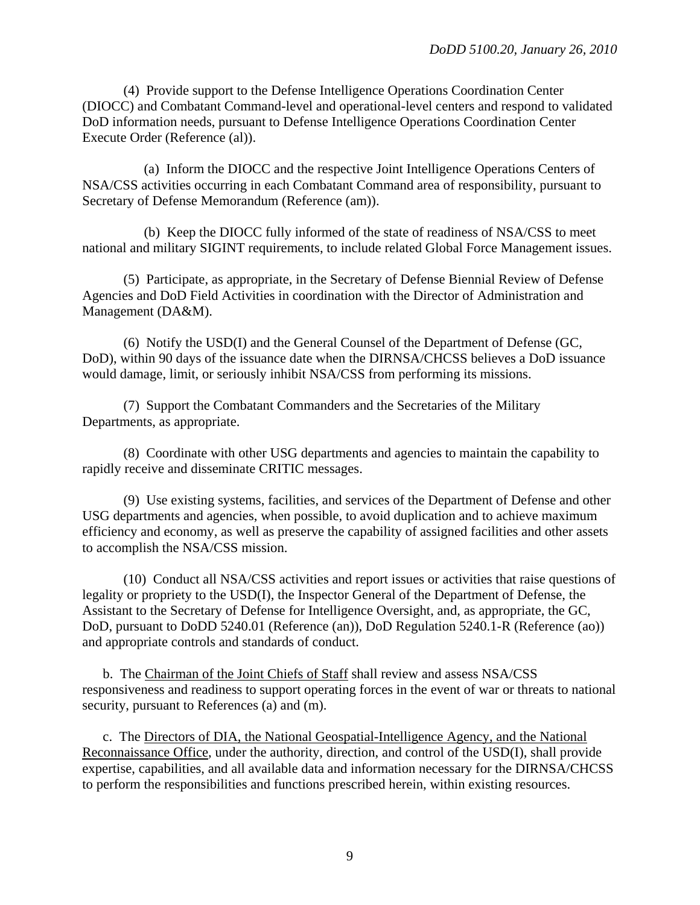(4) Provide support to the Defense Intelligence Operations Coordination Center (DIOCC) and Combatant Command-level and operational-level centers and respond to validated DoD information needs, pursuant to Defense Intelligence Operations Coordination Center Execute Order (Reference (al)).

 (a) Inform the DIOCC and the respective Joint Intelligence Operations Centers of NSA/CSS activities occurring in each Combatant Command area of responsibility, pursuant to Secretary of Defense Memorandum (Reference (am)).

 (b) Keep the DIOCC fully informed of the state of readiness of NSA/CSS to meet national and military SIGINT requirements, to include related Global Force Management issues.

 (5) Participate, as appropriate, in the Secretary of Defense Biennial Review of Defense Agencies and DoD Field Activities in coordination with the Director of Administration and Management (DA&M).

 (6) Notify the USD(I) and the General Counsel of the Department of Defense (GC, DoD), within 90 days of the issuance date when the DIRNSA/CHCSS believes a DoD issuance would damage, limit, or seriously inhibit NSA/CSS from performing its missions.

(7) Support the Combatant Commanders and the Secretaries of the Military Departments, as appropriate.

 (8) Coordinate with other USG departments and agencies to maintain the capability to rapidly receive and disseminate CRITIC messages.

 (9) Use existing systems, facilities, and services of the Department of Defense and other USG departments and agencies, when possible, to avoid duplication and to achieve maximum efficiency and economy, as well as preserve the capability of assigned facilities and other assets to accomplish the NSA/CSS mission.

 (10) Conduct all NSA/CSS activities and report issues or activities that raise questions of legality or propriety to the USD(I), the Inspector General of the Department of Defense, the Assistant to the Secretary of Defense for Intelligence Oversight, and, as appropriate, the GC, DoD, pursuant to DoDD 5240.01 (Reference (an)), DoD Regulation 5240.1-R (Reference (ao)) and appropriate controls and standards of conduct.

 b. The Chairman of the Joint Chiefs of Staff shall review and assess NSA/CSS responsiveness and readiness to support operating forces in the event of war or threats to national security, pursuant to References (a) and (m).

 c. The Directors of DIA, the National Geospatial-Intelligence Agency, and the National Reconnaissance Office, under the authority, direction, and control of the USD(I), shall provide expertise, capabilities, and all available data and information necessary for the DIRNSA/CHCSS to perform the responsibilities and functions prescribed herein, within existing resources.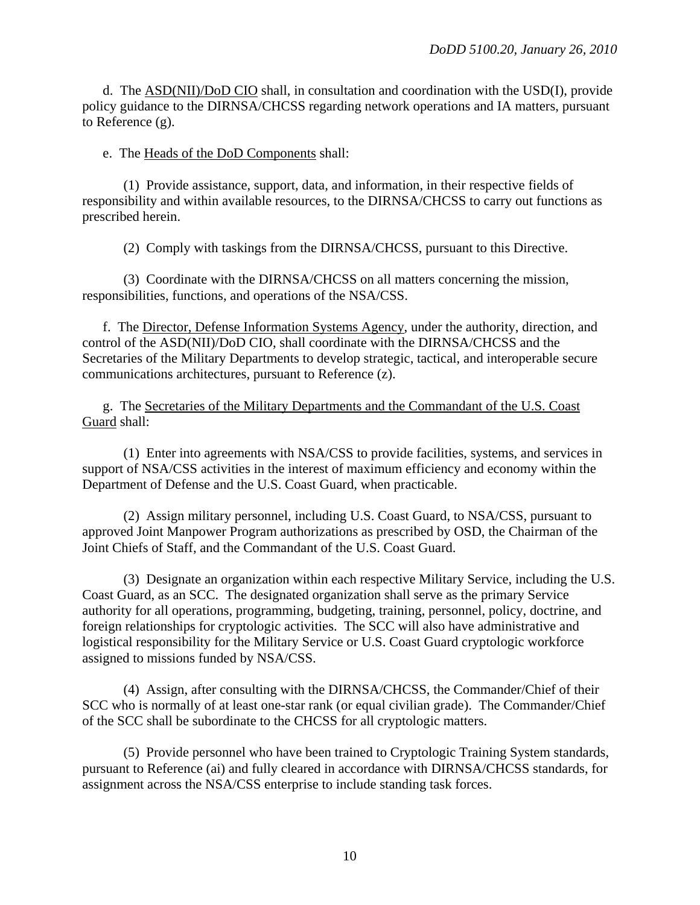d. The ASD(NII)/DoD CIO shall, in consultation and coordination with the USD(I), provide policy guidance to the DIRNSA/CHCSS regarding network operations and IA matters, pursuant to Reference (g).

#### e. The Heads of the DoD Components shall:

 (1) Provide assistance, support, data, and information, in their respective fields of responsibility and within available resources, to the DIRNSA/CHCSS to carry out functions as prescribed herein.

(2) Comply with taskings from the DIRNSA/CHCSS, pursuant to this Directive.

 (3) Coordinate with the DIRNSA/CHCSS on all matters concerning the mission, responsibilities, functions, and operations of the NSA/CSS.

 f. The Director, Defense Information Systems Agency, under the authority, direction, and control of the ASD(NII)/DoD CIO, shall coordinate with the DIRNSA/CHCSS and the Secretaries of the Military Departments to develop strategic, tactical, and interoperable secure communications architectures, pursuant to Reference (z).

 g. The Secretaries of the Military Departments and the Commandant of the U.S. Coast Guard shall:

 (1) Enter into agreements with NSA/CSS to provide facilities, systems, and services in support of NSA/CSS activities in the interest of maximum efficiency and economy within the Department of Defense and the U.S. Coast Guard, when practicable.

 (2) Assign military personnel, including U.S. Coast Guard, to NSA/CSS, pursuant to approved Joint Manpower Program authorizations as prescribed by OSD, the Chairman of the Joint Chiefs of Staff, and the Commandant of the U.S. Coast Guard.

 (3) Designate an organization within each respective Military Service, including the U.S. Coast Guard, as an SCC. The designated organization shall serve as the primary Service authority for all operations, programming, budgeting, training, personnel, policy, doctrine, and foreign relationships for cryptologic activities. The SCC will also have administrative and logistical responsibility for the Military Service or U.S. Coast Guard cryptologic workforce assigned to missions funded by NSA/CSS.

 (4) Assign, after consulting with the DIRNSA/CHCSS, the Commander/Chief of their SCC who is normally of at least one-star rank (or equal civilian grade). The Commander/Chief of the SCC shall be subordinate to the CHCSS for all cryptologic matters.

 (5) Provide personnel who have been trained to Cryptologic Training System standards, pursuant to Reference (ai) and fully cleared in accordance with DIRNSA/CHCSS standards, for assignment across the NSA/CSS enterprise to include standing task forces.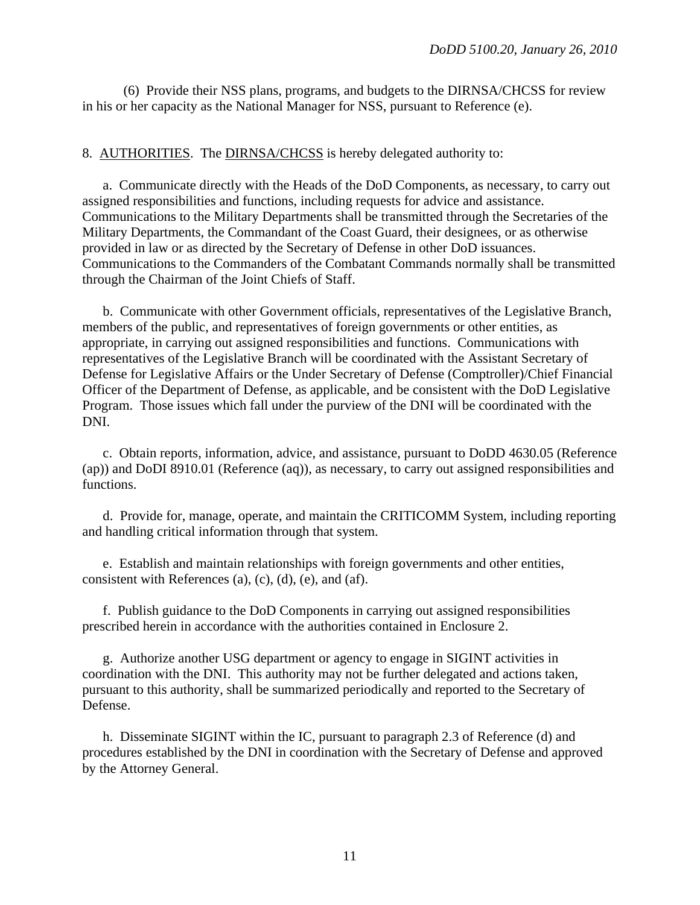(6) Provide their NSS plans, programs, and budgets to the DIRNSA/CHCSS for review in his or her capacity as the National Manager for NSS, pursuant to Reference (e).

#### 8. AUTHORITIES. The DIRNSA/CHCSS is hereby delegated authority to:

 a. Communicate directly with the Heads of the DoD Components, as necessary, to carry out assigned responsibilities and functions, including requests for advice and assistance. Communications to the Military Departments shall be transmitted through the Secretaries of the Military Departments, the Commandant of the Coast Guard, their designees, or as otherwise provided in law or as directed by the Secretary of Defense in other DoD issuances. Communications to the Commanders of the Combatant Commands normally shall be transmitted through the Chairman of the Joint Chiefs of Staff.

 b. Communicate with other Government officials, representatives of the Legislative Branch, members of the public, and representatives of foreign governments or other entities, as appropriate, in carrying out assigned responsibilities and functions. Communications with representatives of the Legislative Branch will be coordinated with the Assistant Secretary of Defense for Legislative Affairs or the Under Secretary of Defense (Comptroller)/Chief Financial Officer of the Department of Defense, as applicable, and be consistent with the DoD Legislative Program. Those issues which fall under the purview of the DNI will be coordinated with the DNI.

 c. Obtain reports, information, advice, and assistance, pursuant to DoDD 4630.05 (Reference (ap)) and DoDI 8910.01 (Reference (aq)), as necessary, to carry out assigned responsibilities and functions.

 d. Provide for, manage, operate, and maintain the CRITICOMM System, including reporting and handling critical information through that system.

 e. Establish and maintain relationships with foreign governments and other entities, consistent with References (a), (c), (d), (e), and (af).

 f. Publish guidance to the DoD Components in carrying out assigned responsibilities prescribed herein in accordance with the authorities contained in Enclosure 2.

 g. Authorize another USG department or agency to engage in SIGINT activities in coordination with the DNI. This authority may not be further delegated and actions taken, pursuant to this authority, shall be summarized periodically and reported to the Secretary of Defense.

 h. Disseminate SIGINT within the IC, pursuant to paragraph 2.3 of Reference (d) and procedures established by the DNI in coordination with the Secretary of Defense and approved by the Attorney General.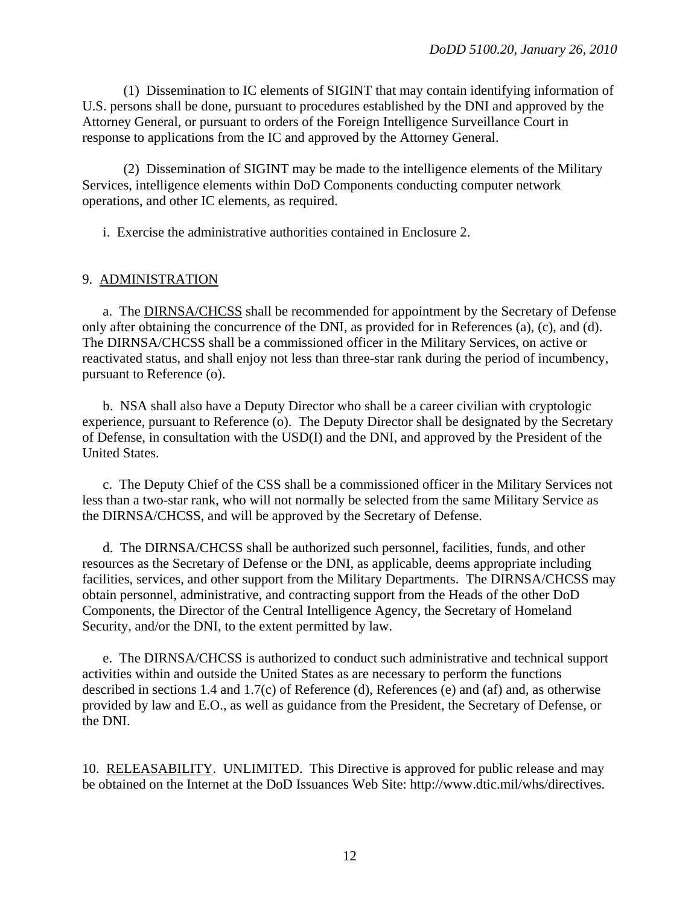(1) Dissemination to IC elements of SIGINT that may contain identifying information of U.S. persons shall be done, pursuant to procedures established by the DNI and approved by the Attorney General, or pursuant to orders of the Foreign Intelligence Surveillance Court in response to applications from the IC and approved by the Attorney General.

 (2) Dissemination of SIGINT may be made to the intelligence elements of the Military Services, intelligence elements within DoD Components conducting computer network operations, and other IC elements, as required.

i. Exercise the administrative authorities contained in Enclosure 2.

#### 9. ADMINISTRATION

 a. The DIRNSA/CHCSS shall be recommended for appointment by the Secretary of Defense only after obtaining the concurrence of the DNI, as provided for in References (a), (c), and (d). The DIRNSA/CHCSS shall be a commissioned officer in the Military Services, on active or reactivated status, and shall enjoy not less than three-star rank during the period of incumbency, pursuant to Reference (o).

 b. NSA shall also have a Deputy Director who shall be a career civilian with cryptologic experience, pursuant to Reference (o). The Deputy Director shall be designated by the Secretary of Defense, in consultation with the USD(I) and the DNI, and approved by the President of the United States.

 c. The Deputy Chief of the CSS shall be a commissioned officer in the Military Services not less than a two-star rank, who will not normally be selected from the same Military Service as the DIRNSA/CHCSS, and will be approved by the Secretary of Defense.

 d. The DIRNSA/CHCSS shall be authorized such personnel, facilities, funds, and other resources as the Secretary of Defense or the DNI, as applicable, deems appropriate including facilities, services, and other support from the Military Departments. The DIRNSA/CHCSS may obtain personnel, administrative, and contracting support from the Heads of the other DoD Components, the Director of the Central Intelligence Agency, the Secretary of Homeland Security, and/or the DNI, to the extent permitted by law.

 e. The DIRNSA/CHCSS is authorized to conduct such administrative and technical support activities within and outside the United States as are necessary to perform the functions described in sections 1.4 and 1.7(c) of Reference (d), References (e) and (af) and, as otherwise provided by law and E.O., as well as guidance from the President, the Secretary of Defense, or the DNI.

10. RELEASABILITY. UNLIMITED. This Directive is approved for public release and may be obtained on the Internet at the DoD Issuances Web Site: <http://www.dtic.mil/whs/directives>.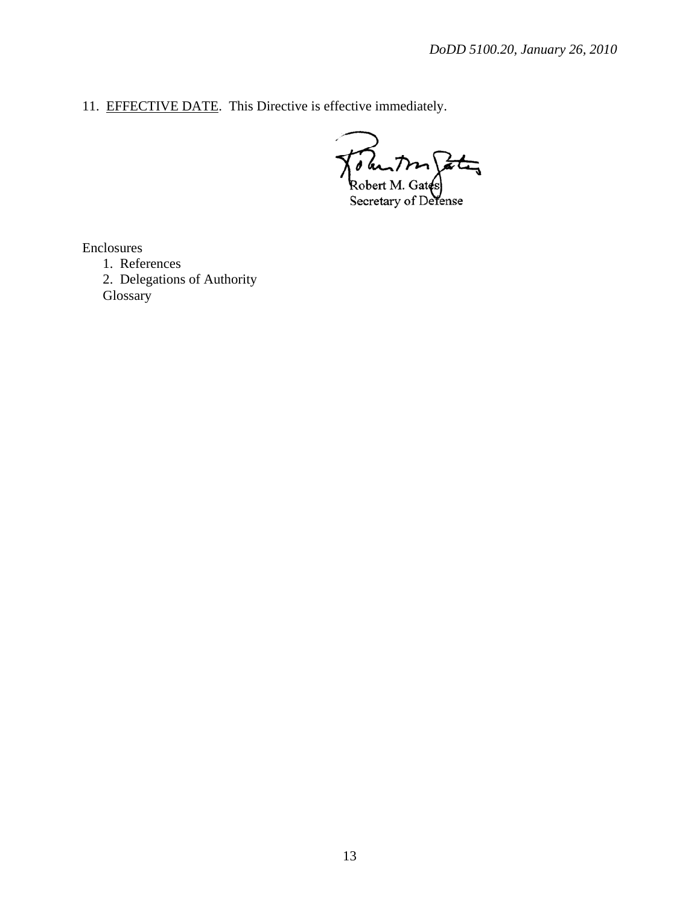11. EFFECTIVE DATE. This Directive is effective immediately.

 $\overrightarrow{at}_{\overline{y}}$ Robert M. Gates

Enclosures

 1. References 2. Delegations of Authority **Glossary**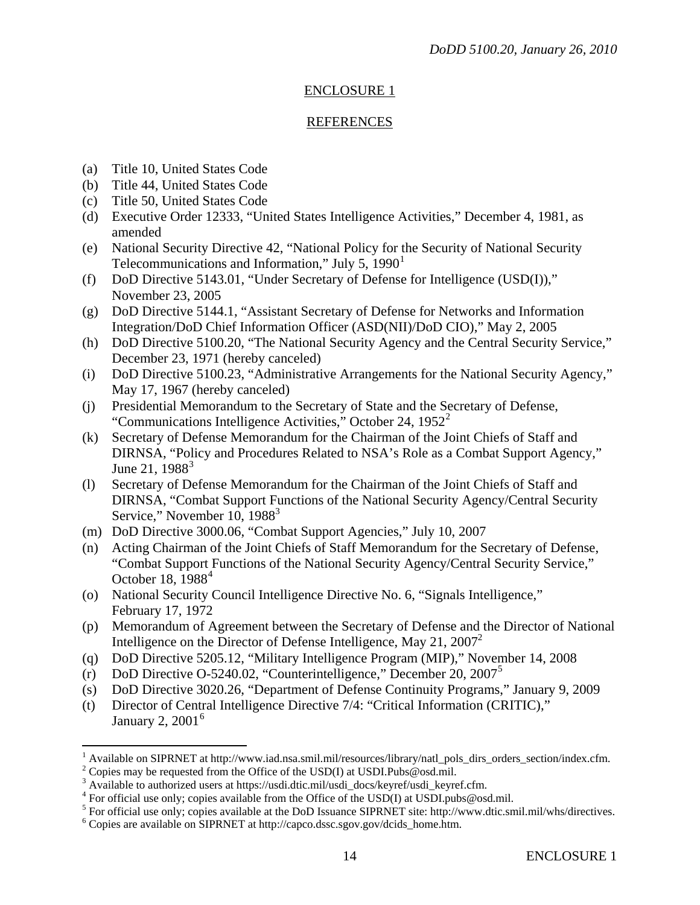# ENCLOSURE 1

# REFERENCES

- (a) Title 10, United States Code
- (b) Title 44, United States Code
- (c) Title 50, United States Code
- (d) Executive Order 12333, "United States Intelligence Activities," December 4, 1981, as amended
- (e) National Security Directive 42, "National Policy for the Security of National Security Telecommunications and Information," July 5,  $1990<sup>1</sup>$  $1990<sup>1</sup>$
- (f) DoD Directive 5143.01, "Under Secretary of Defense for Intelligence (USD(I))," November 23, 2005
- (g) DoD Directive 5144.1, "Assistant Secretary of Defense for Networks and Information Integration/DoD Chief Information Officer (ASD(NII)/DoD CIO)," May 2, 2005
- (h) DoD Directive 5100.20, "The National Security Agency and the Central Security Service," December 23, 1971 (hereby canceled)
- (i) DoD Directive 5100.23, "Administrative Arrangements for the National Security Agency," May 17, 1967 (hereby canceled)
- (j) Presidential Memorandum to the Secretary of State and the Secretary of Defense, "Communications Intelligence Activities," October [2](#page-13-1)4,  $1952^2$
- (k) Secretary of Defense Memorandum for the Chairman of the Joint Chiefs of Staff and DIRNSA, "Policy and Procedures Related to NSA's Role as a Combat Support Agency," June 21,  $1988^3$  $1988^3$
- (l) Secretary of Defense Memorandum for the Chairman of the Joint Chiefs of Staff and DIRNSA, "Combat Support Functions of the National Security Agency/Central Security Service," November 10, 1988<sup>3</sup>
- (m) DoD Directive 3000.06, "Combat Support Agencies," July 10, 2007
- (n) Acting Chairman of the Joint Chiefs of Staff Memorandum for the Secretary of Defense, "Combat Support Functions of the National Security Agency/Central Security Service," October 18,  $1988<sup>4</sup>$  $1988<sup>4</sup>$  $1988<sup>4</sup>$
- (o) National Security Council Intelligence Directive No. 6, "Signals Intelligence," February 17, 1972
- (p) Memorandum of Agreement between the Secretary of Defense and the Director of National Intelligence on the Director of Defense Intelligence, May 21,  $2007^2$
- (q) DoD Directive 5205.12, "Military Intelligence Program (MIP)," November 14, 2008
- (r) DoD Directive O-[5](#page-13-4)240.02, "Counterintelligence," December 20,  $2007^5$
- (s) DoD Directive 3020.26, "Department of Defense Continuity Programs," January 9, 2009
- (t) Director of Central Intelligence Directive 7/4: "Critical Information (CRITIC)," January 2,  $2001<sup>6</sup>$  $2001<sup>6</sup>$  $2001<sup>6</sup>$

 $\overline{a}$ 

<span id="page-13-0"></span><sup>1</sup> Available on SIPRNET at http://www.iad.nsa.smil.mil/resources/library/natl\_pols\_dirs\_orders\_section/index.cfm. 2

<span id="page-13-1"></span><sup>&</sup>lt;sup>2</sup> Copies may be requested from the Office of the USD(I) at USDI.Pubs@osd.mil.

<span id="page-13-2"></span><sup>&</sup>lt;sup>3</sup> Available to authorized users at https://usdi.dtic.mil/usdi\_docs/keyref/usdi\_keyref.cfm.

<span id="page-13-3"></span><sup>&</sup>lt;sup>4</sup> For official use only; copies available from the Office of the USD(I) at USDI.pubs@osd.mil.

<span id="page-13-4"></span> $<sup>5</sup>$  For official use only; copies available at the DoD Issuance SIPRNET site: http://www.dtic.smil.mil/whs/directives.</sup>

<span id="page-13-5"></span>Copies are available on SIPRNET at http://capco.dssc.sgov.gov/dcids\_home.htm.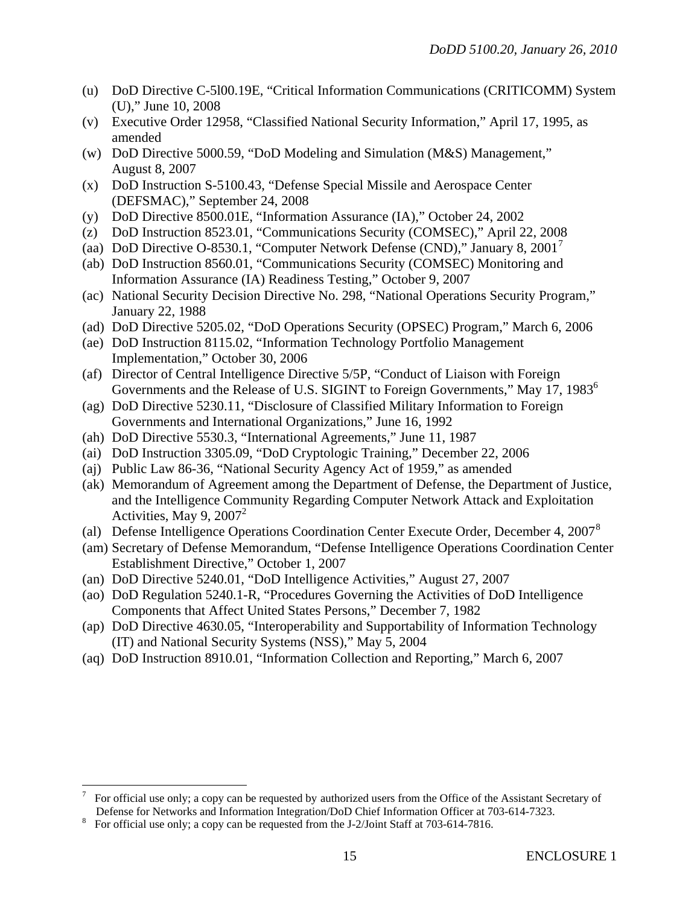- (u) DoD Directive C-5l00.19E, "Critical Information Communications (CRITICOMM) System (U)," June 10, 2008
- (v) Executive Order 12958, "Classified National Security Information," April 17, 1995, as amended
- (w) DoD Directive 5000.59, "DoD Modeling and Simulation (M&S) Management," August 8, 2007
- (x) DoD Instruction S-5100.43, "Defense Special Missile and Aerospace Center (DEFSMAC)," September 24, 2008
- (y) DoD Directive 8500.01E, "Information Assurance (IA)," October 24, 2002
- (z) DoD Instruction 8523.01, "Communications Security (COMSEC)," April 22, 2008
- (aa) DoD Directive O-8530.1, "Computer Network Defense (CND)," January 8, 2001[7](#page-14-0)
- (ab) DoD Instruction 8560.01, "Communications Security (COMSEC) Monitoring and Information Assurance (IA) Readiness Testing," October 9, 2007
- (ac) National Security Decision Directive No. 298, "National Operations Security Program," January 22, 1988
- (ad) DoD Directive 5205.02, "DoD Operations Security (OPSEC) Program," March 6, 2006
- (ae) DoD Instruction 8115.02, "Information Technology Portfolio Management Implementation," October 30, 2006
- (af) Director of Central Intelligence Directive 5/5P, "Conduct of Liaison with Foreign Governments and the Release of U.S. SIGINT to Foreign Governments," May 17, 1983<sup>6</sup>
- (ag) DoD Directive 5230.11, "Disclosure of Classified Military Information to Foreign Governments and International Organizations," June 16, 1992
- (ah) DoD Directive 5530.3, "International Agreements," June 11, 1987
- (ai) DoD Instruction 3305.09, "DoD Cryptologic Training," December 22, 2006
- (aj) Public Law 86-36, "National Security Agency Act of 1959," as amended
- (ak) Memorandum of Agreement among the Department of Defense, the Department of Justice, and the Intelligence Community Regarding Computer Network Attack and Exploitation Activities, May 9,  $2007^2$
- (al) Defense Intelligence Operations Coordination Center Execute Order, December 4, 2007<sup>[8](#page-14-1)</sup>
- (am) Secretary of Defense Memorandum, "Defense Intelligence Operations Coordination Center Establishment Directive," October 1, 2007
- (an) DoD Directive 5240.01, "DoD Intelligence Activities," August 27, 2007
- (ao) DoD Regulation 5240.1-R, "Procedures Governing the Activities of DoD Intelligence Components that Affect United States Persons," December 7, 1982
- (ap) DoD Directive 4630.05, "Interoperability and Supportability of Information Technology (IT) and National Security Systems (NSS)," May 5, 2004
- (aq) DoD Instruction 8910.01, "Information Collection and Reporting," March 6, 2007

<u>.</u>

<span id="page-14-0"></span><sup>7</sup> For official use only; a copy can be requested by authorized users from the Office of the Assistant Secretary of Defense for Networks and Information Integration/DoD Chief Information Officer at 703-614-7323.

<span id="page-14-1"></span>For official use only; a copy can be requested from the J-2/Joint Staff at 703-614-7816.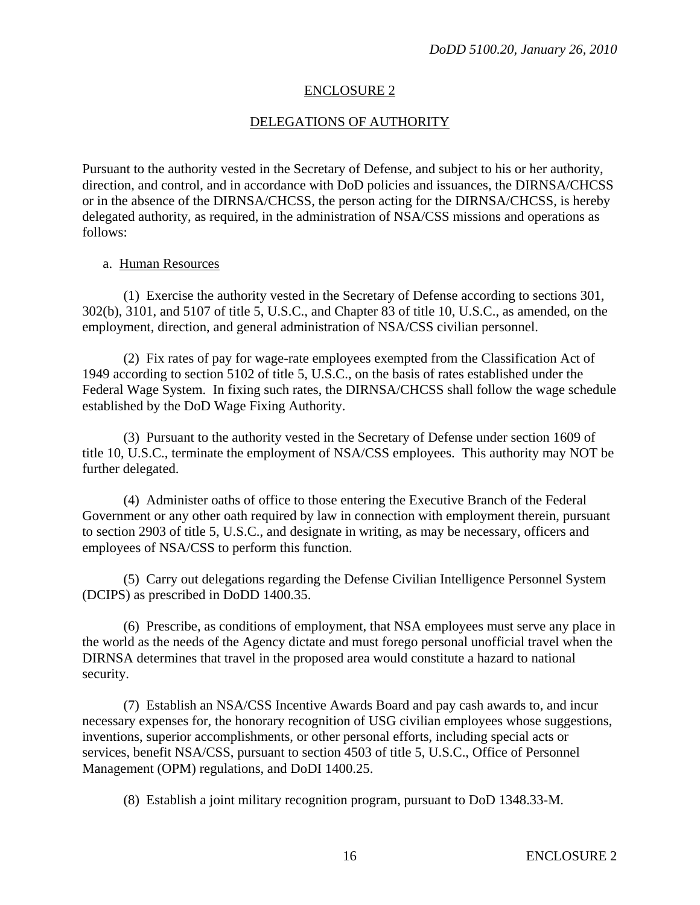#### ENCLOSURE 2

## DELEGATIONS OF AUTHORITY

Pursuant to the authority vested in the Secretary of Defense, and subject to his or her authority, direction, and control, and in accordance with DoD policies and issuances, the DIRNSA/CHCSS or in the absence of the DIRNSA/CHCSS, the person acting for the DIRNSA/CHCSS, is hereby delegated authority, as required, in the administration of NSA/CSS missions and operations as follows:

#### a. Human Resources

 (1) Exercise the authority vested in the Secretary of Defense according to sections 301, 302(b), 3101, and 5107 of title 5, U.S.C., and Chapter 83 of title 10, U.S.C., as amended, on the employment, direction, and general administration of NSA/CSS civilian personnel.

 (2) Fix rates of pay for wage-rate employees exempted from the Classification Act of 1949 according to section 5102 of title 5, U.S.C., on the basis of rates established under the Federal Wage System. In fixing such rates, the DIRNSA/CHCSS shall follow the wage schedule established by the DoD Wage Fixing Authority.

 (3) Pursuant to the authority vested in the Secretary of Defense under section 1609 of title 10, U.S.C., terminate the employment of NSA/CSS employees. This authority may NOT be further delegated.

 (4) Administer oaths of office to those entering the Executive Branch of the Federal Government or any other oath required by law in connection with employment therein, pursuant to section 2903 of title 5, U.S.C., and designate in writing, as may be necessary, officers and employees of NSA/CSS to perform this function.

 (5) Carry out delegations regarding the Defense Civilian Intelligence Personnel System (DCIPS) as prescribed in DoDD 1400.35.

 (6) Prescribe, as conditions of employment, that NSA employees must serve any place in the world as the needs of the Agency dictate and must forego personal unofficial travel when the DIRNSA determines that travel in the proposed area would constitute a hazard to national security.

 (7) Establish an NSA/CSS Incentive Awards Board and pay cash awards to, and incur necessary expenses for, the honorary recognition of USG civilian employees whose suggestions, inventions, superior accomplishments, or other personal efforts, including special acts or services, benefit NSA/CSS, pursuant to section 4503 of title 5, U.S.C., Office of Personnel Management (OPM) regulations, and DoDI 1400.25.

(8) Establish a joint military recognition program, pursuant to DoD 1348.33-M.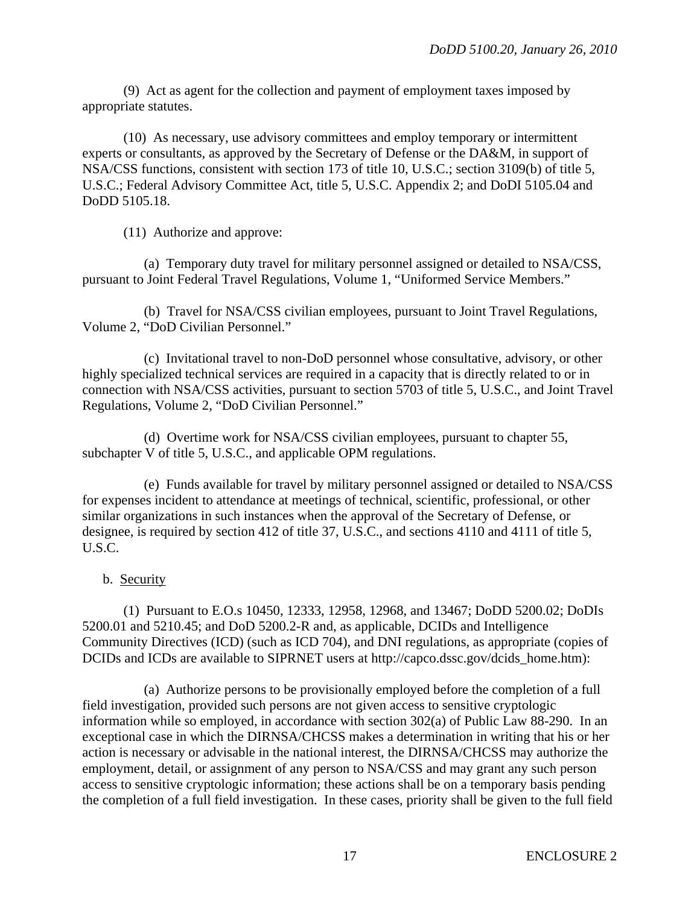(9) Act as agent for the collection and payment of employment taxes imposed by appropriate statutes.

 (10) As necessary, use advisory committees and employ temporary or intermittent experts or consultants, as approved by the Secretary of Defense or the DA&M, in support of NSA/CSS functions, consistent with section 173 of title 10, U.S.C.; section 3109(b) of title 5, U.S.C.; Federal Advisory Committee Act, title 5, U.S.C. Appendix 2; and DoDI 5105.04 and DoDD 5105.18.

(11) Authorize and approve:

 (a) Temporary duty travel for military personnel assigned or detailed to NSA/CSS, pursuant to Joint Federal Travel Regulations, Volume 1, "Uniformed Service Members."

 (b) Travel for NSA/CSS civilian employees, pursuant to Joint Travel Regulations, Volume 2, "DoD Civilian Personnel."

 (c) Invitational travel to non-DoD personnel whose consultative, advisory, or other highly specialized technical services are required in a capacity that is directly related to or in connection with NSA/CSS activities, pursuant to section 5703 of title 5, U.S.C., and Joint Travel Regulations, Volume 2, "DoD Civilian Personnel."

 (d) Overtime work for NSA/CSS civilian employees, pursuant to chapter 55, subchapter V of title 5, U.S.C., and applicable OPM regulations.

 (e) Funds available for travel by military personnel assigned or detailed to NSA/CSS for expenses incident to attendance at meetings of technical, scientific, professional, or other similar organizations in such instances when the approval of the Secretary of Defense, or designee, is required by section 412 of title 37, U.S.C., and sections 4110 and 4111 of title 5, U.S.C.

b. Security

 (1) Pursuant to E.O.s 10450, 12333, 12958, 12968, and 13467; DoDD 5200.02; DoDIs 5200.01 and 5210.45; and DoD 5200.2-R and, as applicable, DCIDs and Intelligence Community Directives (ICD) (such as ICD 704), and DNI regulations, as appropriate (copies of DCIDs and ICDs are available to SIPRNET users at http://capco.dssc.gov/dcids\_home.htm):

 (a) Authorize persons to be provisionally employed before the completion of a full field investigation, provided such persons are not given access to sensitive cryptologic information while so employed, in accordance with section 302(a) of Public Law 88-290. In an exceptional case in which the DIRNSA/CHCSS makes a determination in writing that his or her action is necessary or advisable in the national interest, the DIRNSA/CHCSS may authorize the employment, detail, or assignment of any person to NSA/CSS and may grant any such person access to sensitive cryptologic information; these actions shall be on a temporary basis pending the completion of a full field investigation. In these cases, priority shall be given to the full field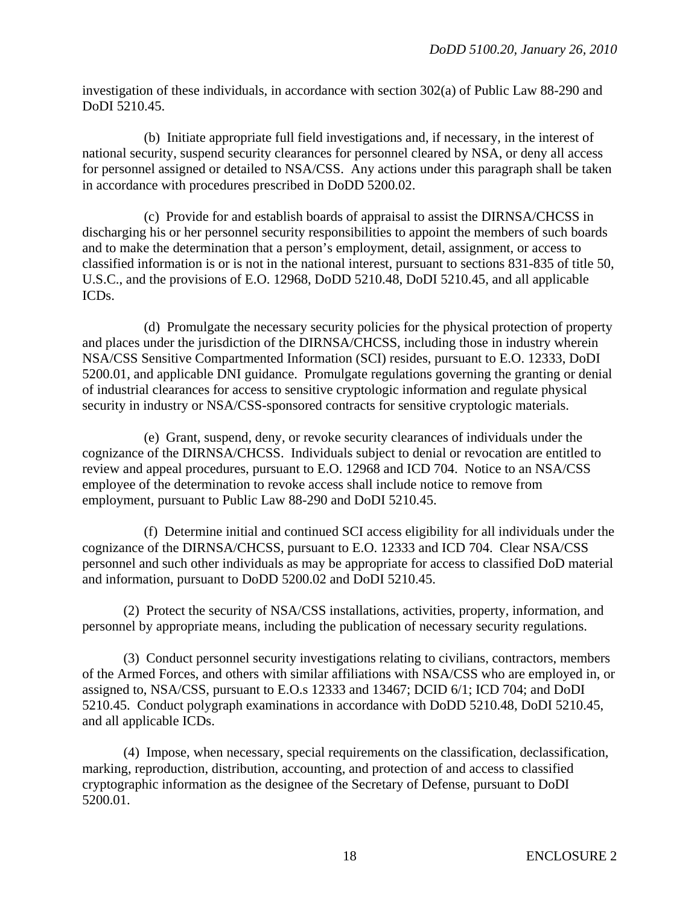investigation of these individuals, in accordance with section 302(a) of Public Law 88-290 and DoDI 5210.45.

 (b) Initiate appropriate full field investigations and, if necessary, in the interest of national security, suspend security clearances for personnel cleared by NSA, or deny all access for personnel assigned or detailed to NSA/CSS. Any actions under this paragraph shall be taken in accordance with procedures prescribed in DoDD 5200.02.

 (c) Provide for and establish boards of appraisal to assist the DIRNSA/CHCSS in discharging his or her personnel security responsibilities to appoint the members of such boards and to make the determination that a person's employment, detail, assignment, or access to classified information is or is not in the national interest, pursuant to sections 831-835 of title 50, U.S.C., and the provisions of E.O. 12968, DoDD 5210.48, DoDI 5210.45, and all applicable ICDs.

 (d) Promulgate the necessary security policies for the physical protection of property and places under the jurisdiction of the DIRNSA/CHCSS, including those in industry wherein NSA/CSS Sensitive Compartmented Information (SCI) resides, pursuant to E.O. 12333, DoDI 5200.01, and applicable DNI guidance. Promulgate regulations governing the granting or denial of industrial clearances for access to sensitive cryptologic information and regulate physical security in industry or NSA/CSS-sponsored contracts for sensitive cryptologic materials.

 (e) Grant, suspend, deny, or revoke security clearances of individuals under the cognizance of the DIRNSA/CHCSS. Individuals subject to denial or revocation are entitled to review and appeal procedures, pursuant to E.O. 12968 and ICD 704. Notice to an NSA/CSS employee of the determination to revoke access shall include notice to remove from employment, pursuant to Public Law 88-290 and DoDI 5210.45.

 (f) Determine initial and continued SCI access eligibility for all individuals under the cognizance of the DIRNSA/CHCSS, pursuant to E.O. 12333 and ICD 704. Clear NSA/CSS personnel and such other individuals as may be appropriate for access to classified DoD material and information, pursuant to DoDD 5200.02 and DoDI 5210.45.

 (2) Protect the security of NSA/CSS installations, activities, property, information, and personnel by appropriate means, including the publication of necessary security regulations.

 (3) Conduct personnel security investigations relating to civilians, contractors, members of the Armed Forces, and others with similar affiliations with NSA/CSS who are employed in, or assigned to, NSA/CSS, pursuant to E.O.s 12333 and 13467; DCID 6/1; ICD 704; and DoDI 5210.45. Conduct polygraph examinations in accordance with DoDD 5210.48, DoDI 5210.45, and all applicable ICDs.

 (4) Impose, when necessary, special requirements on the classification, declassification, marking, reproduction, distribution, accounting, and protection of and access to classified cryptographic information as the designee of the Secretary of Defense, pursuant to DoDI 5200.01.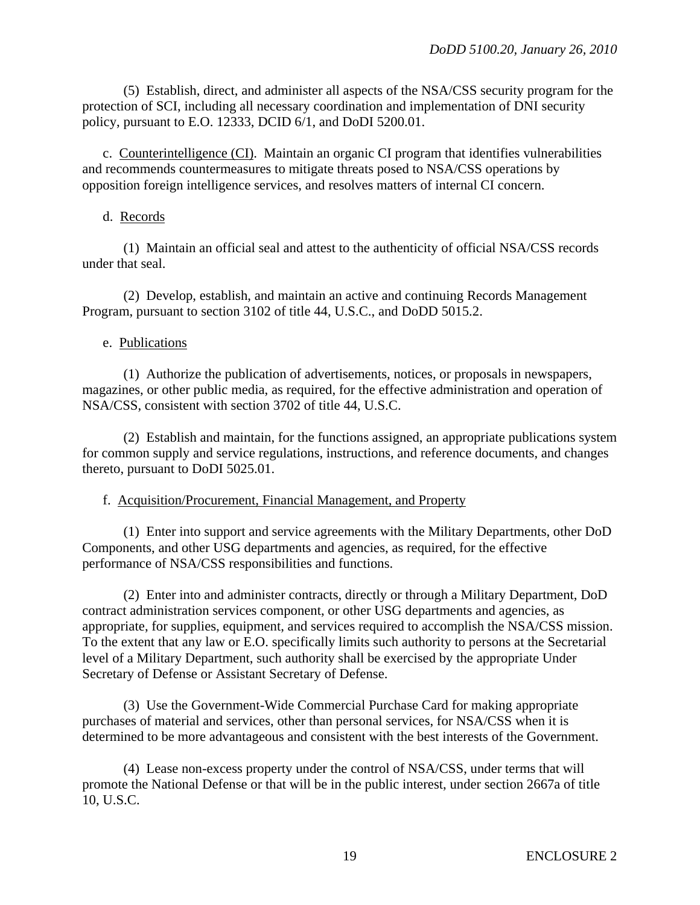(5) Establish, direct, and administer all aspects of the NSA/CSS security program for the protection of SCI, including all necessary coordination and implementation of DNI security policy, pursuant to E.O. 12333, DCID 6/1, and DoDI 5200.01.

 c. Counterintelligence (CI). Maintain an organic CI program that identifies vulnerabilities and recommends countermeasures to mitigate threats posed to NSA/CSS operations by opposition foreign intelligence services, and resolves matters of internal CI concern.

#### d. Records

 (1) Maintain an official seal and attest to the authenticity of official NSA/CSS records under that seal.

 (2) Develop, establish, and maintain an active and continuing Records Management Program, pursuant to section 3102 of title 44, U.S.C., and DoDD 5015.2.

#### e. Publications

 (1) Authorize the publication of advertisements, notices, or proposals in newspapers, magazines, or other public media, as required, for the effective administration and operation of NSA/CSS, consistent with section 3702 of title 44, U.S.C.

 (2) Establish and maintain, for the functions assigned, an appropriate publications system for common supply and service regulations, instructions, and reference documents, and changes thereto, pursuant to DoDI 5025.01.

#### f. Acquisition/Procurement, Financial Management, and Property

 (1) Enter into support and service agreements with the Military Departments, other DoD Components, and other USG departments and agencies, as required, for the effective performance of NSA/CSS responsibilities and functions.

 (2) Enter into and administer contracts, directly or through a Military Department, DoD contract administration services component, or other USG departments and agencies, as appropriate, for supplies, equipment, and services required to accomplish the NSA/CSS mission. To the extent that any law or E.O. specifically limits such authority to persons at the Secretarial level of a Military Department, such authority shall be exercised by the appropriate Under Secretary of Defense or Assistant Secretary of Defense.

 (3) Use the Government-Wide Commercial Purchase Card for making appropriate purchases of material and services, other than personal services, for NSA/CSS when it is determined to be more advantageous and consistent with the best interests of the Government.

 (4) Lease non-excess property under the control of NSA/CSS, under terms that will promote the National Defense or that will be in the public interest, under section 2667a of title 10, U.S.C.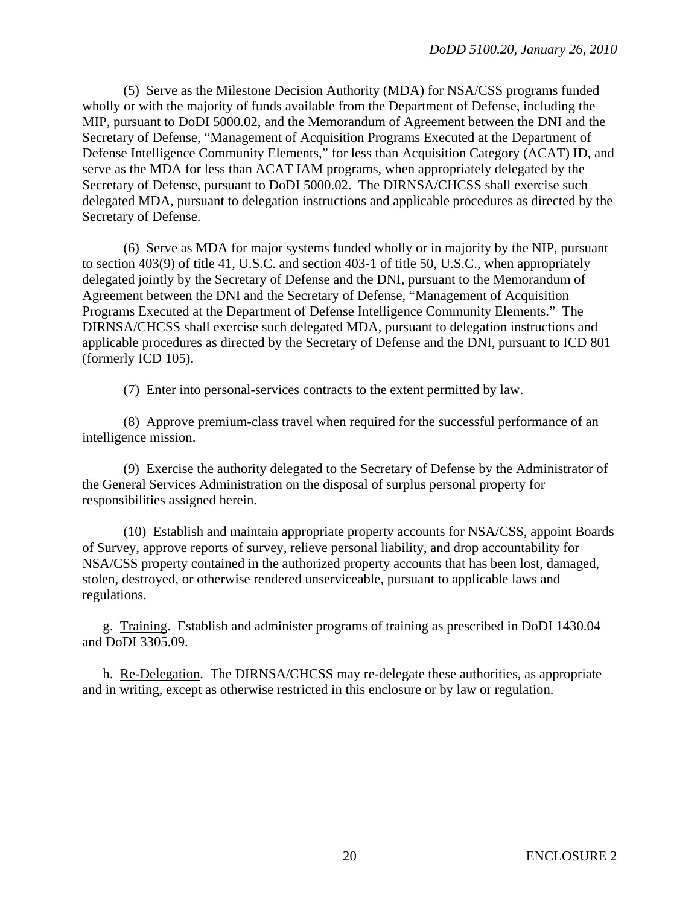(5) Serve as the Milestone Decision Authority (MDA) for NSA/CSS programs funded wholly or with the majority of funds available from the Department of Defense, including the MIP, pursuant to DoDI 5000.02, and the Memorandum of Agreement between the DNI and the Secretary of Defense, "Management of Acquisition Programs Executed at the Department of Defense Intelligence Community Elements," for less than Acquisition Category (ACAT) ID, and serve as the MDA for less than ACAT IAM programs, when appropriately delegated by the Secretary of Defense, pursuant to DoDI 5000.02. The DIRNSA/CHCSS shall exercise such delegated MDA, pursuant to delegation instructions and applicable procedures as directed by the Secretary of Defense.

 (6) Serve as MDA for major systems funded wholly or in majority by the NIP, pursuant to section 403(9) of title 41, U.S.C. and section 403-1 of title 50, U.S.C., when appropriately delegated jointly by the Secretary of Defense and the DNI, pursuant to the Memorandum of Agreement between the DNI and the Secretary of Defense, "Management of Acquisition Programs Executed at the Department of Defense Intelligence Community Elements." The DIRNSA/CHCSS shall exercise such delegated MDA, pursuant to delegation instructions and applicable procedures as directed by the Secretary of Defense and the DNI, pursuant to ICD 801 (formerly ICD 105).

(7) Enter into personal-services contracts to the extent permitted by law.

 (8) Approve premium-class travel when required for the successful performance of an intelligence mission.

 (9) Exercise the authority delegated to the Secretary of Defense by the Administrator of the General Services Administration on the disposal of surplus personal property for responsibilities assigned herein.

 (10) Establish and maintain appropriate property accounts for NSA/CSS, appoint Boards of Survey, approve reports of survey, relieve personal liability, and drop accountability for NSA/CSS property contained in the authorized property accounts that has been lost, damaged, stolen, destroyed, or otherwise rendered unserviceable, pursuant to applicable laws and regulations.

 g. Training. Establish and administer programs of training as prescribed in DoDI 1430.04 and DoDI 3305.09.

 h. Re-Delegation. The DIRNSA/CHCSS may re-delegate these authorities, as appropriate and in writing, except as otherwise restricted in this enclosure or by law or regulation.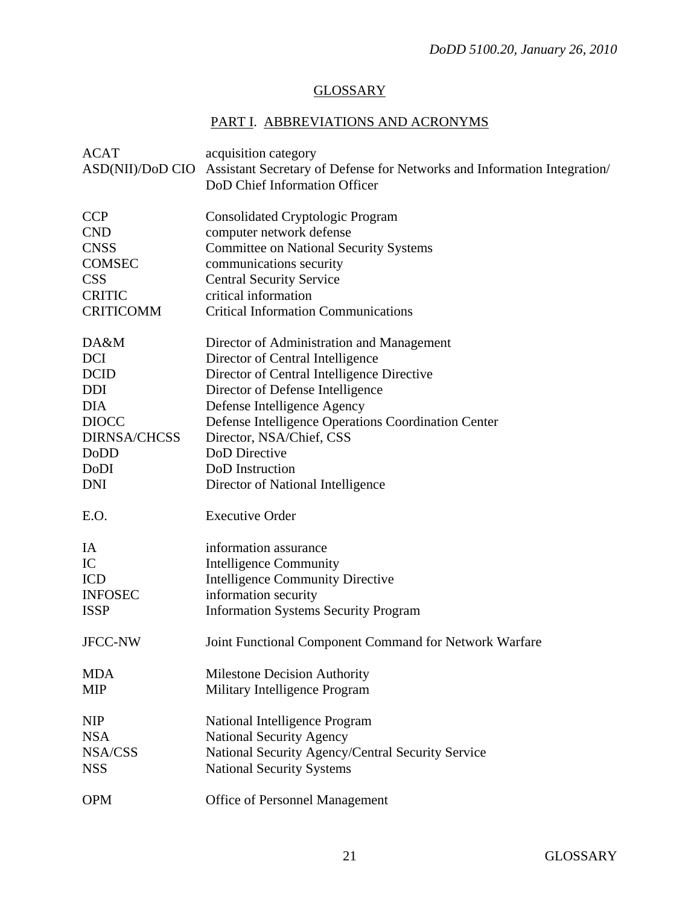# **GLOSSARY**

# PART I. ABBREVIATIONS AND ACRONYMS

| <b>ACAT</b><br>ASD(NII)/DoD CIO | acquisition category<br>Assistant Secretary of Defense for Networks and Information Integration/<br>DoD Chief Information Officer |
|---------------------------------|-----------------------------------------------------------------------------------------------------------------------------------|
| <b>CCP</b>                      | <b>Consolidated Cryptologic Program</b>                                                                                           |
| <b>CND</b>                      | computer network defense                                                                                                          |
| <b>CNSS</b>                     | <b>Committee on National Security Systems</b>                                                                                     |
| <b>COMSEC</b>                   | communications security                                                                                                           |
| <b>CSS</b>                      | <b>Central Security Service</b>                                                                                                   |
| <b>CRITIC</b>                   | critical information                                                                                                              |
| <b>CRITICOMM</b>                | <b>Critical Information Communications</b>                                                                                        |
| DA&M                            | Director of Administration and Management                                                                                         |
| <b>DCI</b>                      | Director of Central Intelligence                                                                                                  |
| <b>DCID</b>                     | Director of Central Intelligence Directive                                                                                        |
| <b>DDI</b>                      | Director of Defense Intelligence                                                                                                  |
| <b>DIA</b>                      | Defense Intelligence Agency                                                                                                       |
| <b>DIOCC</b>                    | Defense Intelligence Operations Coordination Center                                                                               |
| <b>DIRNSA/CHCSS</b>             | Director, NSA/Chief, CSS                                                                                                          |
| <b>DoDD</b>                     | DoD Directive                                                                                                                     |
| DoDI                            | DoD Instruction                                                                                                                   |
| <b>DNI</b>                      | Director of National Intelligence                                                                                                 |
| E.O.                            | <b>Executive Order</b>                                                                                                            |
| IA                              | information assurance                                                                                                             |
| IC                              | <b>Intelligence Community</b>                                                                                                     |
| <b>ICD</b>                      | <b>Intelligence Community Directive</b>                                                                                           |
| <b>INFOSEC</b>                  | information security                                                                                                              |
| <b>ISSP</b>                     | <b>Information Systems Security Program</b>                                                                                       |
| <b>JFCC-NW</b>                  | Joint Functional Component Command for Network Warfare                                                                            |
| <b>MDA</b>                      | <b>Milestone Decision Authority</b>                                                                                               |
| <b>MIP</b>                      | Military Intelligence Program                                                                                                     |
| <b>NIP</b>                      | National Intelligence Program                                                                                                     |
| <b>NSA</b>                      | <b>National Security Agency</b>                                                                                                   |
| NSA/CSS                         | National Security Agency/Central Security Service                                                                                 |
| <b>NSS</b>                      | <b>National Security Systems</b>                                                                                                  |
| <b>OPM</b>                      | Office of Personnel Management                                                                                                    |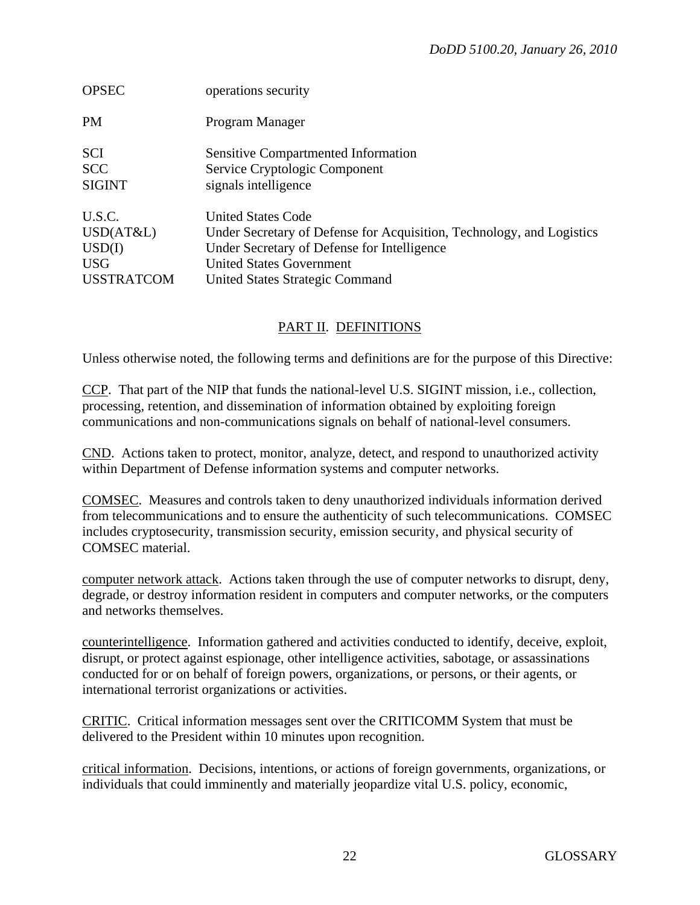| <b>OPSEC</b>      | operations security                                                   |
|-------------------|-----------------------------------------------------------------------|
| <b>PM</b>         | Program Manager                                                       |
| <b>SCI</b>        | <b>Sensitive Compartmented Information</b>                            |
| <b>SCC</b>        | Service Cryptologic Component                                         |
| <b>SIGINT</b>     | signals intelligence                                                  |
| U.S.C.            | <b>United States Code</b>                                             |
| USD(AT&L)         | Under Secretary of Defense for Acquisition, Technology, and Logistics |
| USD(I)            | Under Secretary of Defense for Intelligence                           |
| <b>USG</b>        | <b>United States Government</b>                                       |
| <b>USSTRATCOM</b> | United States Strategic Command                                       |

# PART II. DEFINITIONS

Unless otherwise noted, the following terms and definitions are for the purpose of this Directive:

CCP. That part of the NIP that funds the national-level U.S. SIGINT mission, i.e., collection, processing, retention, and dissemination of information obtained by exploiting foreign communications and non-communications signals on behalf of national-level consumers.

CND. Actions taken to protect, monitor, analyze, detect, and respond to unauthorized activity within Department of Defense information systems and computer networks.

COMSEC. Measures and controls taken to deny unauthorized individuals information derived from telecommunications and to ensure the authenticity of such telecommunications. COMSEC includes cryptosecurity, transmission security, emission security, and physical security of COMSEC material.

computer network attack. Actions taken through the use of computer networks to disrupt, deny, degrade, or destroy information resident in computers and computer networks, or the computers and networks themselves.

counterintelligence. Information gathered and activities conducted to identify, deceive, exploit, disrupt, or protect against espionage, other intelligence activities, sabotage, or assassinations conducted for or on behalf of foreign powers, organizations, or persons, or their agents, or international terrorist organizations or activities.

CRITIC. Critical information messages sent over the CRITICOMM System that must be delivered to the President within 10 minutes upon recognition.

critical information. Decisions, intentions, or actions of foreign governments, organizations, or individuals that could imminently and materially jeopardize vital U.S. policy, economic,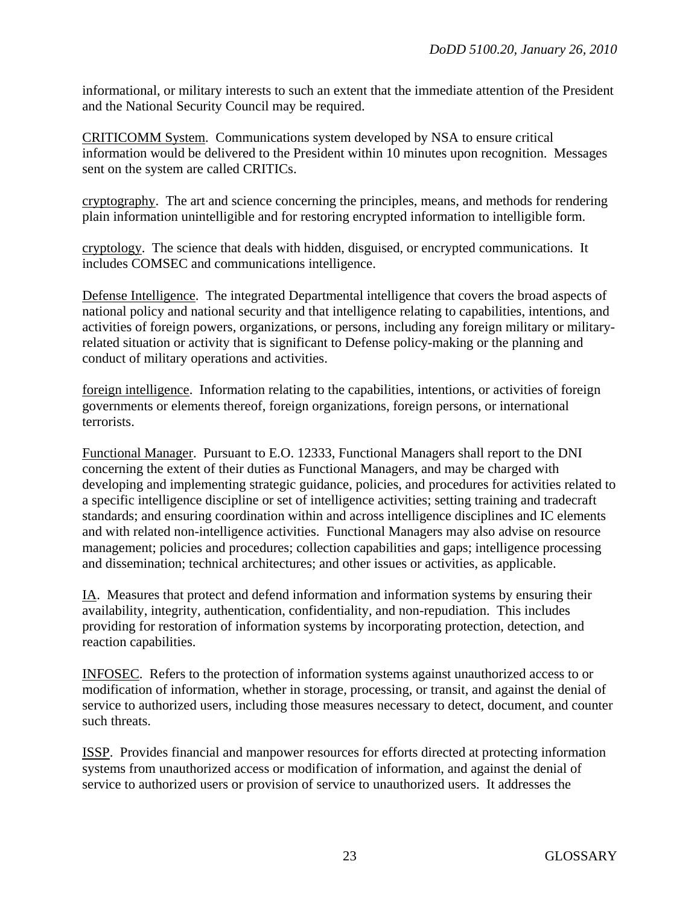informational, or military interests to such an extent that the immediate attention of the President and the National Security Council may be required.

CRITICOMM System. Communications system developed by NSA to ensure critical information would be delivered to the President within 10 minutes upon recognition. Messages sent on the system are called CRITICs.

cryptography. The art and science concerning the principles, means, and methods for rendering plain information unintelligible and for restoring encrypted information to intelligible form.

cryptology. The science that deals with hidden, disguised, or encrypted communications. It includes COMSEC and communications intelligence.

Defense Intelligence. The integrated Departmental intelligence that covers the broad aspects of national policy and national security and that intelligence relating to capabilities, intentions, and activities of foreign powers, organizations, or persons, including any foreign military or militaryrelated situation or activity that is significant to Defense policy-making or the planning and conduct of military operations and activities.

foreign intelligence. Information relating to the capabilities, intentions, or activities of foreign governments or elements thereof, foreign organizations, foreign persons, or international terrorists.

Functional Manager. Pursuant to E.O. 12333, Functional Managers shall report to the DNI concerning the extent of their duties as Functional Managers, and may be charged with developing and implementing strategic guidance, policies, and procedures for activities related to a specific intelligence discipline or set of intelligence activities; setting training and tradecraft standards; and ensuring coordination within and across intelligence disciplines and IC elements and with related non-intelligence activities. Functional Managers may also advise on resource management; policies and procedures; collection capabilities and gaps; intelligence processing and dissemination; technical architectures; and other issues or activities, as applicable.

IA.Measures that protect and defend information and information systems by ensuring their availability, integrity, authentication, confidentiality, and non-repudiation. This includes providing for restoration of information systems by incorporating protection, detection, and reaction capabilities.

INFOSEC. Refers to the protection of information systems against unauthorized access to or modification of information, whether in storage, processing, or transit, and against the denial of service to authorized users, including those measures necessary to detect, document, and counter such threats.

ISSP. Provides financial and manpower resources for efforts directed at protecting information systems from unauthorized access or modification of information, and against the denial of service to authorized users or provision of service to unauthorized users. It addresses the